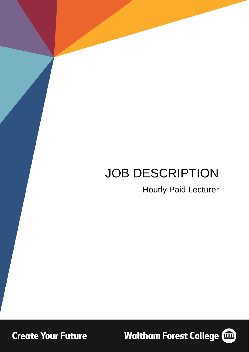# JOB DESCRIPTION

Hourly Paid Lecturer

**Create Your Future** 

**Waltham Forest College (1986)** 

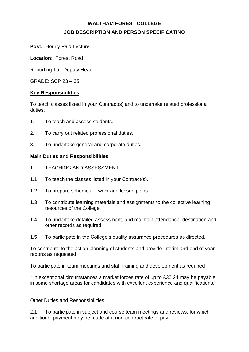# **WALTHAM FOREST COLLEGE JOB DESCRIPTION AND PERSON SPECIFICATINO**

**Post:** Hourly Paid Lecturer

**Location:** Forest Road

Reporting To: Deputy Head

GRADE: SCP 23 – 35

#### **Key Responsibilities**

To teach classes listed in your Contract(s) and to undertake related professional duties.

- 1. To teach and assess students.
- 2. To carry out related professional duties.
- 3. To undertake general and corporate duties.

#### **Main Duties and Responsibilities**

- 1. TEACHING AND ASSESSMENT
- 1.1 To teach the classes listed in your Contract(s).
- 1.2 To prepare schemes of work and lesson plans
- 1.3 To contribute learning materials and assignments to the collective learning resources of the College.
- 1.4 To undertake detailed assessment, and maintain attendance, destination and other records as required.
- 1.5 To participate in the College's quality assurance procedures as directed.

To contribute to the action planning of students and provide interim and end of year reports as requested.

To participate in team meetings and staff training and development as required

\* in exceptional circumstances a market forces rate of up to £30.24 may be payable in some shortage areas for candidates with excellent experience and qualifications.

Other Duties and Responsibilities

2.1 To participate in subject and course team meetings and reviews, for which additional payment may be made at a non-contract rate of pay.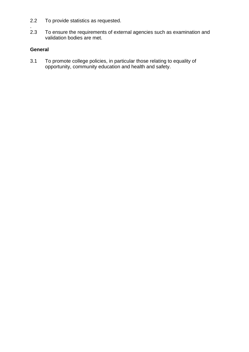- 2.2 To provide statistics as requested.
- 2.3 To ensure the requirements of external agencies such as examination and validation bodies are met.

### **General**

3.1 To promote college policies, in particular those relating to equality of opportunity, community education and health and safety.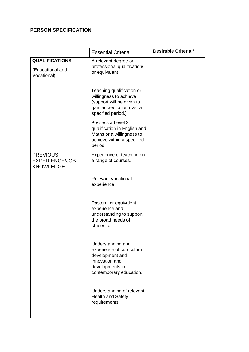## **PERSON SPECIFICATION**

|                                                              | <b>Essential Criteria</b>                                                                                                           | Desirable Criteria * |
|--------------------------------------------------------------|-------------------------------------------------------------------------------------------------------------------------------------|----------------------|
| <b>QUALIFICATIONS</b><br>(Educational and<br>Vocational)     | A relevant degree or<br>professional qualification/<br>or equivalent                                                                |                      |
|                                                              | Teaching qualification or<br>willingness to achieve<br>(support will be given to<br>gain accreditation over a<br>specified period.) |                      |
|                                                              | Possess a Level 2<br>qualification in English and<br>Maths or a willingness to<br>achieve within a specified<br>period              |                      |
| <b>PREVIOUS</b><br><b>EXPERIENCE/JOB</b><br><b>KNOWLEDGE</b> | Experience of teaching on<br>a range of courses.                                                                                    |                      |
|                                                              | Relevant vocational<br>experience                                                                                                   |                      |
|                                                              | Pastoral or equivalent<br>experience and<br>understanding to support<br>the broad needs of<br>students.                             |                      |
|                                                              | Understanding and<br>experience of curriculum<br>development and<br>innovation and<br>developments in<br>contemporary education.    |                      |
|                                                              | Understanding of relevant<br><b>Health and Safety</b><br>requirements.                                                              |                      |